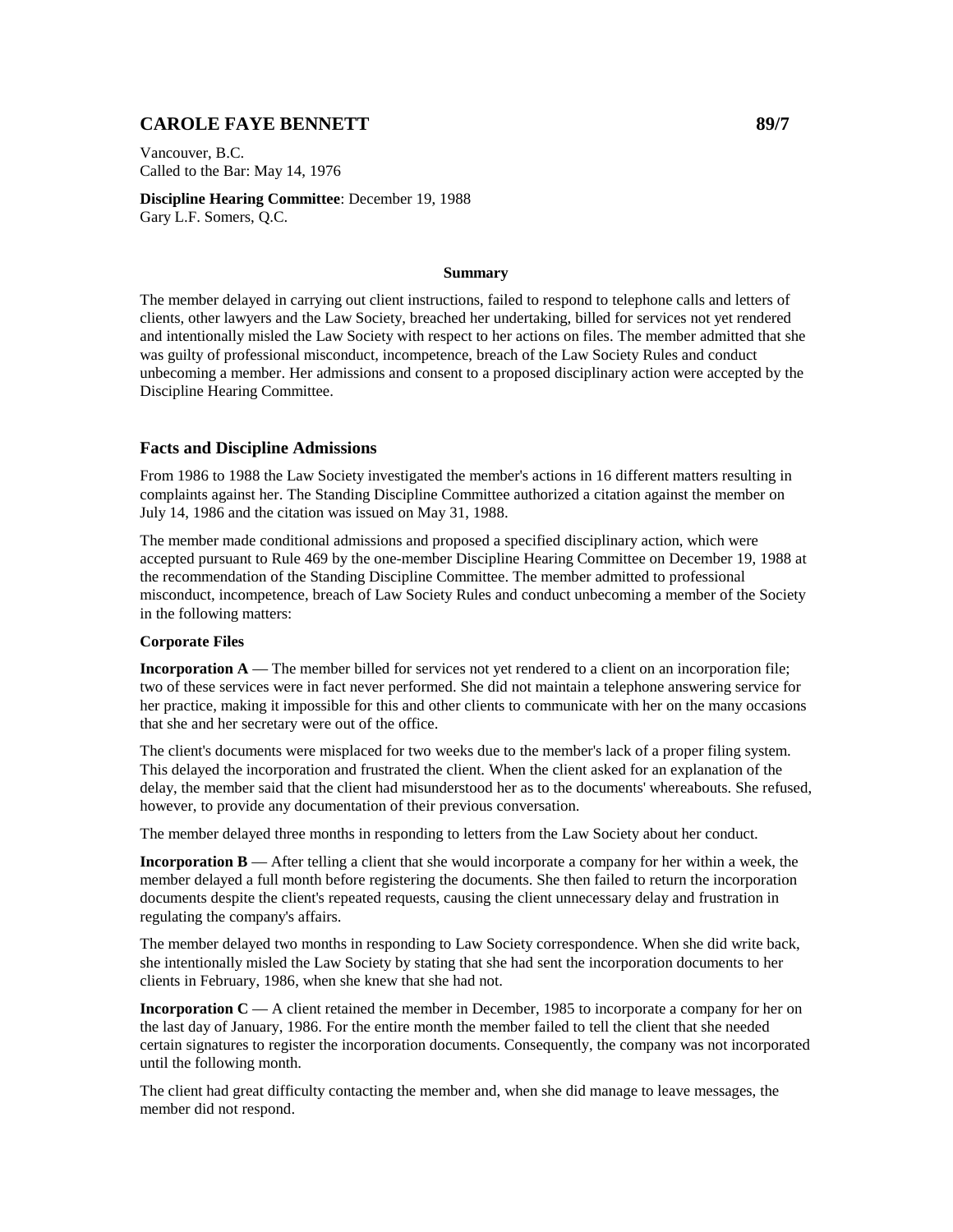# **CAROLE FAYE BENNETT** 89/7

Vancouver, B.C. Called to the Bar: May 14, 1976

**Discipline Hearing Committee**: December 19, 1988 Gary L.F. Somers, Q.C.

#### **Summary**

The member delayed in carrying out client instructions, failed to respond to telephone calls and letters of clients, other lawyers and the Law Society, breached her undertaking, billed for services not yet rendered and intentionally misled the Law Society with respect to her actions on files. The member admitted that she was guilty of professional misconduct, incompetence, breach of the Law Society Rules and conduct unbecoming a member. Her admissions and consent to a proposed disciplinary action were accepted by the Discipline Hearing Committee.

#### **Facts and Discipline Admissions**

From 1986 to 1988 the Law Society investigated the member's actions in 16 different matters resulting in complaints against her. The Standing Discipline Committee authorized a citation against the member on July 14, 1986 and the citation was issued on May 31, 1988.

The member made conditional admissions and proposed a specified disciplinary action, which were accepted pursuant to Rule 469 by the one-member Discipline Hearing Committee on December 19, 1988 at the recommendation of the Standing Discipline Committee. The member admitted to professional misconduct, incompetence, breach of Law Society Rules and conduct unbecoming a member of the Society in the following matters:

### **Corporate Files**

**Incorporation A** — The member billed for services not yet rendered to a client on an incorporation file; two of these services were in fact never performed. She did not maintain a telephone answering service for her practice, making it impossible for this and other clients to communicate with her on the many occasions that she and her secretary were out of the office.

The client's documents were misplaced for two weeks due to the member's lack of a proper filing system. This delayed the incorporation and frustrated the client. When the client asked for an explanation of the delay, the member said that the client had misunderstood her as to the documents' whereabouts. She refused, however, to provide any documentation of their previous conversation.

The member delayed three months in responding to letters from the Law Society about her conduct.

**Incorporation B** — After telling a client that she would incorporate a company for her within a week, the member delayed a full month before registering the documents. She then failed to return the incorporation documents despite the client's repeated requests, causing the client unnecessary delay and frustration in regulating the company's affairs.

The member delayed two months in responding to Law Society correspondence. When she did write back, she intentionally misled the Law Society by stating that she had sent the incorporation documents to her clients in February, 1986, when she knew that she had not.

**Incorporation C** — A client retained the member in December, 1985 to incorporate a company for her on the last day of January, 1986. For the entire month the member failed to tell the client that she needed certain signatures to register the incorporation documents. Consequently, the company was not incorporated until the following month.

The client had great difficulty contacting the member and, when she did manage to leave messages, the member did not respond.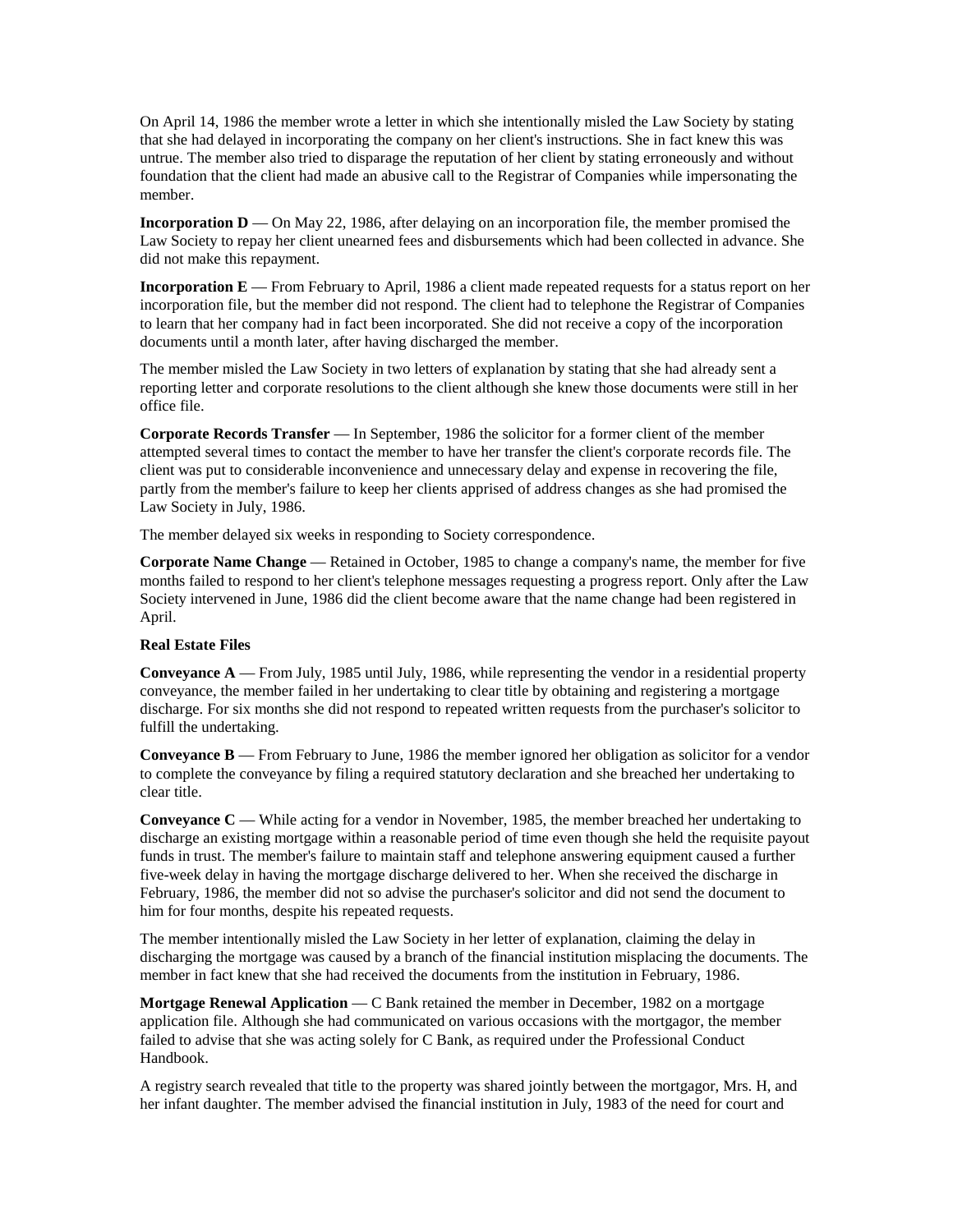On April 14, 1986 the member wrote a letter in which she intentionally misled the Law Society by stating that she had delayed in incorporating the company on her client's instructions. She in fact knew this was untrue. The member also tried to disparage the reputation of her client by stating erroneously and without foundation that the client had made an abusive call to the Registrar of Companies while impersonating the member.

**Incorporation D** — On May 22, 1986, after delaying on an incorporation file, the member promised the Law Society to repay her client unearned fees and disbursements which had been collected in advance. She did not make this repayment.

**Incorporation E** — From February to April, 1986 a client made repeated requests for a status report on her incorporation file, but the member did not respond. The client had to telephone the Registrar of Companies to learn that her company had in fact been incorporated. She did not receive a copy of the incorporation documents until a month later, after having discharged the member.

The member misled the Law Society in two letters of explanation by stating that she had already sent a reporting letter and corporate resolutions to the client although she knew those documents were still in her office file.

**Corporate Records Transfer** — In September, 1986 the solicitor for a former client of the member attempted several times to contact the member to have her transfer the client's corporate records file. The client was put to considerable inconvenience and unnecessary delay and expense in recovering the file, partly from the member's failure to keep her clients apprised of address changes as she had promised the Law Society in July, 1986.

The member delayed six weeks in responding to Society correspondence.

**Corporate Name Change** — Retained in October, 1985 to change a company's name, the member for five months failed to respond to her client's telephone messages requesting a progress report. Only after the Law Society intervened in June, 1986 did the client become aware that the name change had been registered in April.

#### **Real Estate Files**

**Conveyance A** — From July, 1985 until July, 1986, while representing the vendor in a residential property conveyance, the member failed in her undertaking to clear title by obtaining and registering a mortgage discharge. For six months she did not respond to repeated written requests from the purchaser's solicitor to fulfill the undertaking.

**Conveyance B** — From February to June, 1986 the member ignored her obligation as solicitor for a vendor to complete the conveyance by filing a required statutory declaration and she breached her undertaking to clear title.

**Conveyance C** — While acting for a vendor in November, 1985, the member breached her undertaking to discharge an existing mortgage within a reasonable period of time even though she held the requisite payout funds in trust. The member's failure to maintain staff and telephone answering equipment caused a further five-week delay in having the mortgage discharge delivered to her. When she received the discharge in February, 1986, the member did not so advise the purchaser's solicitor and did not send the document to him for four months, despite his repeated requests.

The member intentionally misled the Law Society in her letter of explanation, claiming the delay in discharging the mortgage was caused by a branch of the financial institution misplacing the documents. The member in fact knew that she had received the documents from the institution in February, 1986.

**Mortgage Renewal Application** — C Bank retained the member in December, 1982 on a mortgage application file. Although she had communicated on various occasions with the mortgagor, the member failed to advise that she was acting solely for C Bank, as required under the Professional Conduct Handbook.

A registry search revealed that title to the property was shared jointly between the mortgagor, Mrs. H, and her infant daughter. The member advised the financial institution in July, 1983 of the need for court and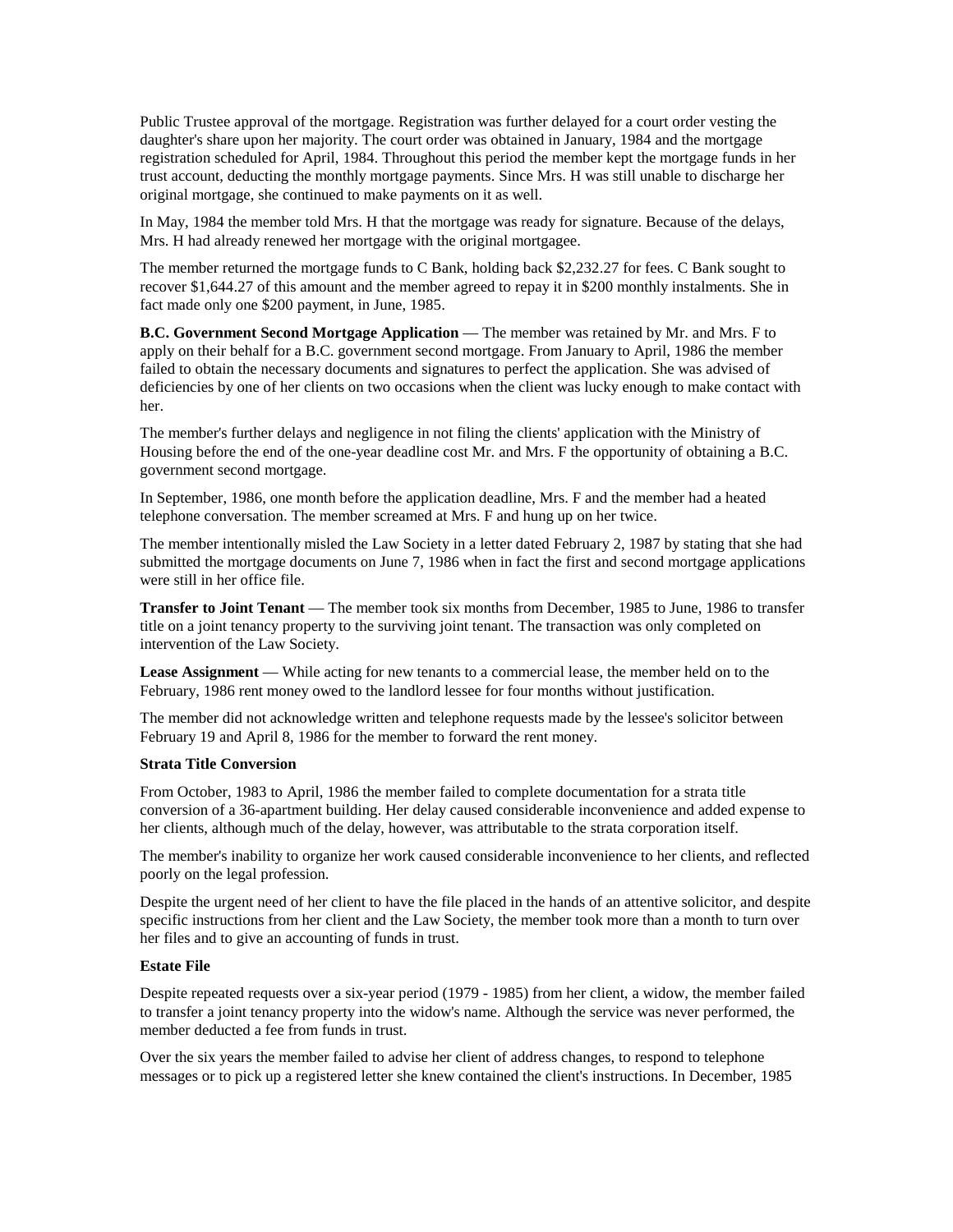Public Trustee approval of the mortgage. Registration was further delayed for a court order vesting the daughter's share upon her majority. The court order was obtained in January, 1984 and the mortgage registration scheduled for April, 1984. Throughout this period the member kept the mortgage funds in her trust account, deducting the monthly mortgage payments. Since Mrs. H was still unable to discharge her original mortgage, she continued to make payments on it as well.

In May, 1984 the member told Mrs. H that the mortgage was ready for signature. Because of the delays, Mrs. H had already renewed her mortgage with the original mortgagee.

The member returned the mortgage funds to C Bank, holding back \$2,232.27 for fees. C Bank sought to recover \$1,644.27 of this amount and the member agreed to repay it in \$200 monthly instalments. She in fact made only one \$200 payment, in June, 1985.

**B.C. Government Second Mortgage Application** — The member was retained by Mr. and Mrs. F to apply on their behalf for a B.C. government second mortgage. From January to April, 1986 the member failed to obtain the necessary documents and signatures to perfect the application. She was advised of deficiencies by one of her clients on two occasions when the client was lucky enough to make contact with her.

The member's further delays and negligence in not filing the clients' application with the Ministry of Housing before the end of the one-year deadline cost Mr. and Mrs. F the opportunity of obtaining a B.C. government second mortgage.

In September, 1986, one month before the application deadline, Mrs. F and the member had a heated telephone conversation. The member screamed at Mrs. F and hung up on her twice.

The member intentionally misled the Law Society in a letter dated February 2, 1987 by stating that she had submitted the mortgage documents on June 7, 1986 when in fact the first and second mortgage applications were still in her office file.

**Transfer to Joint Tenant** — The member took six months from December, 1985 to June, 1986 to transfer title on a joint tenancy property to the surviving joint tenant. The transaction was only completed on intervention of the Law Society.

**Lease Assignment** — While acting for new tenants to a commercial lease, the member held on to the February, 1986 rent money owed to the landlord lessee for four months without justification.

The member did not acknowledge written and telephone requests made by the lessee's solicitor between February 19 and April 8, 1986 for the member to forward the rent money.

# **Strata Title Conversion**

From October, 1983 to April, 1986 the member failed to complete documentation for a strata title conversion of a 36-apartment building. Her delay caused considerable inconvenience and added expense to her clients, although much of the delay, however, was attributable to the strata corporation itself.

The member's inability to organize her work caused considerable inconvenience to her clients, and reflected poorly on the legal profession.

Despite the urgent need of her client to have the file placed in the hands of an attentive solicitor, and despite specific instructions from her client and the Law Society, the member took more than a month to turn over her files and to give an accounting of funds in trust.

#### **Estate File**

Despite repeated requests over a six-year period (1979 - 1985) from her client, a widow, the member failed to transfer a joint tenancy property into the widow's name. Although the service was never performed, the member deducted a fee from funds in trust.

Over the six years the member failed to advise her client of address changes, to respond to telephone messages or to pick up a registered letter she knew contained the client's instructions. In December, 1985